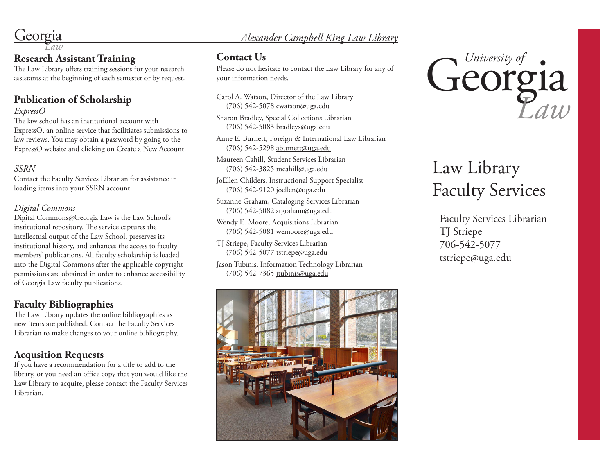# Georgia *Law Alexander Campbell King Law Library*

# **Research Assistant Training**

The Law Library offers training sessions for your research assistants at the beginning of each semester or by request.

# **Publication of Scholarship**

#### *ExpressO*

The law school has an institutional account with ExpressO, an online service that facilitiates submissions to law reviews. You may obtain a password by going to the ExpressO website and clicking on Create a New Account.

### *SSRN*

Contact the Faculty Services Librarian for assistance in loading items into your SSRN account.

### *Digital Commons*

Digital Commons@Georgia Law is the Law School's institutional repository. The service captures the intellectual output of the Law School, preserves its institutional history, and enhances the access to faculty members' publications. All faculty scholarship is loaded into the Digital Commons after the applicable copyright permissions are obtained in order to enhance accessibility of Georgia Law faculty publications.

# **Faculty Bibliographies**

The Law Library updates the online bibliographies as new items are published. Contact the Faculty Services Librarian to make changes to your online bibliography.

# **Acqusition Requests**

If you have a recommendation for a title to add to the library, or you need an office copy that you would like the Law Library to acquire, please contact the Faculty Services Librarian.

# **Contact Us**

Please do not hesitate to contact the Law Library for any of your information needs.

Carol A. Watson, Director of the Law Library (706) 542-5078 cwatson@uga.edu

Sharon Bradley, Special Collections Librarian (706) 542-5083 bradleys@uga.edu

Anne E. Burnett, Foreign & International Law Librarian (706) 542-5298 aburnett@uga.edu

Maureen Cahill, Student Services Librarian (706) 542-3825 mcahill@uga.edu

JoEllen Childers, Instructional Support Specialist (706) 542-9120 joellen@uga.edu

Suzanne Graham, Cataloging Services Librarian (706) 542-5082 srgraham@uga.edu

Wendy E. Moore, Acquisitions Librarian (706) 542-5081 wemoore@uga.edu

TJ Striepe, Faculty Services Librarian (706) 542-5077 tstriepe@uga.edu

Jason Tubinis, Information Technology Librarian (706) 542-7365 jtubinis@uga.edu





# Law Library Faculty Services

Faculty Services Librarian TJ Striepe 706-542-5077 tstriepe@uga.edu